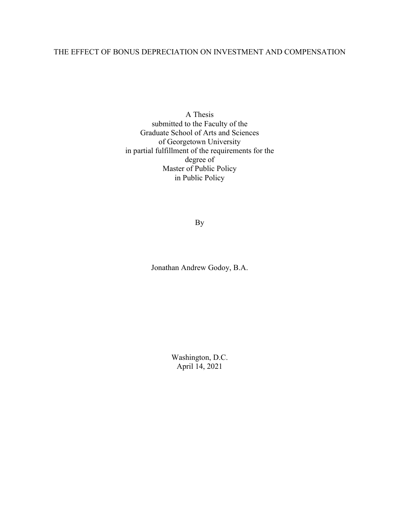# THE EFFECT OF BONUS DEPRECIATION ON INVESTMENT AND COMPENSATION

A Thesis submitted to the Faculty of the Graduate School of Arts and Sciences of Georgetown University in partial fulfillment of the requirements for the degree of Master of Public Policy in Public Policy

By

Jonathan Andrew Godoy, B.A.

Washington, D.C. April 14, 2021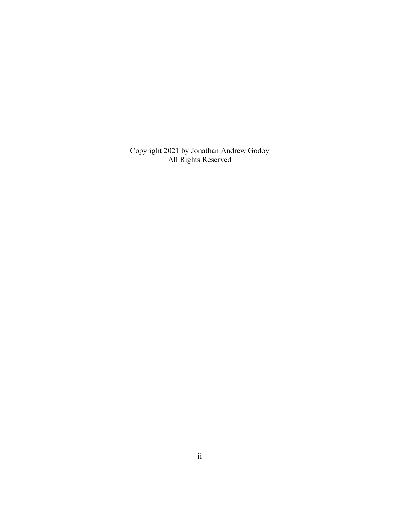Copyright 2021 by Jonathan Andrew Godoy All Rights Reserved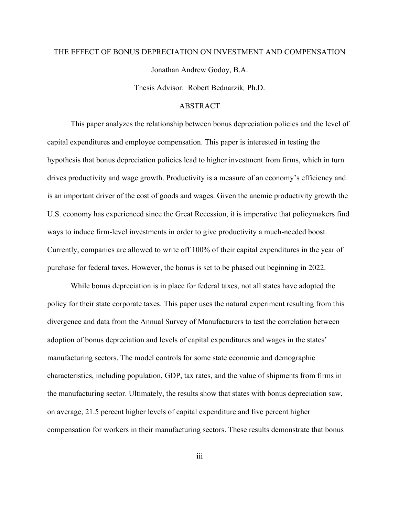# THE EFFECT OF BONUS DEPRECIATION ON INVESTMENT AND COMPENSATION Jonathan Andrew Godoy, B.A.

Thesis Advisor:Robert Bednarzik*,* Ph.D.

#### ABSTRACT

This paper analyzes the relationship between bonus depreciation policies and the level of capital expenditures and employee compensation. This paper is interested in testing the hypothesis that bonus depreciation policies lead to higher investment from firms, which in turn drives productivity and wage growth. Productivity is a measure of an economy's efficiency and is an important driver of the cost of goods and wages. Given the anemic productivity growth the U.S. economy has experienced since the Great Recession, it is imperative that policymakers find ways to induce firm-level investments in order to give productivity a much-needed boost. Currently, companies are allowed to write off 100% of their capital expenditures in the year of purchase for federal taxes. However, the bonus is set to be phased out beginning in 2022.

While bonus depreciation is in place for federal taxes, not all states have adopted the policy for their state corporate taxes. This paper uses the natural experiment resulting from this divergence and data from the Annual Survey of Manufacturers to test the correlation between adoption of bonus depreciation and levels of capital expenditures and wages in the states' manufacturing sectors. The model controls for some state economic and demographic characteristics, including population, GDP, tax rates, and the value of shipments from firms in the manufacturing sector. Ultimately, the results show that states with bonus depreciation saw, on average, 21.5 percent higher levels of capital expenditure and five percent higher compensation for workers in their manufacturing sectors. These results demonstrate that bonus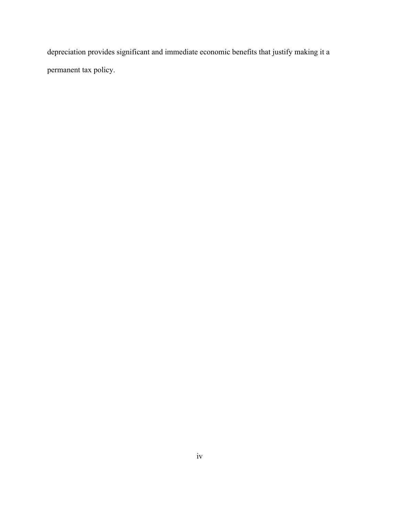depreciation provides significant and immediate economic benefits that justify making it a permanent tax policy.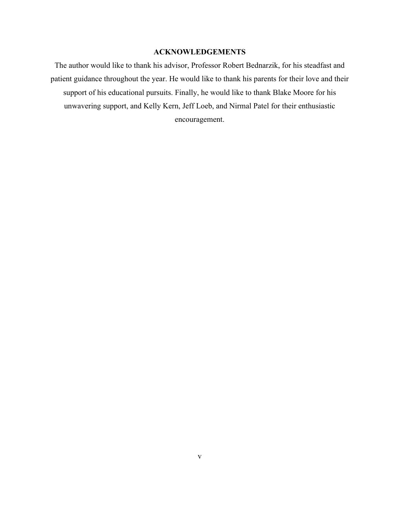## **ACKNOWLEDGEMENTS**

The author would like to thank his advisor, Professor Robert Bednarzik, for his steadfast and patient guidance throughout the year. He would like to thank his parents for their love and their support of his educational pursuits. Finally, he would like to thank Blake Moore for his unwavering support, and Kelly Kern, Jeff Loeb, and Nirmal Patel for their enthusiastic encouragement.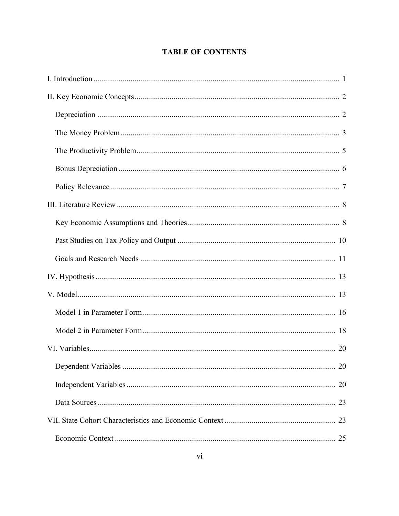# **TABLE OF CONTENTS**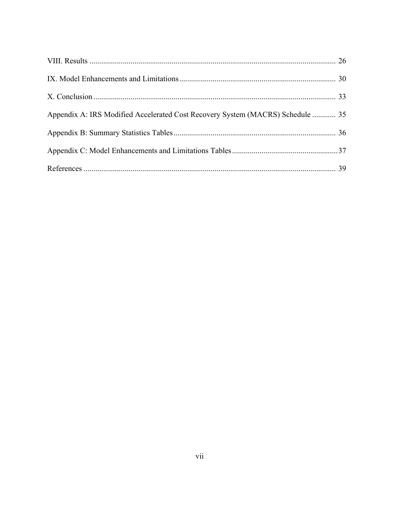| Appendix A: IRS Modified Accelerated Cost Recovery System (MACRS) Schedule  35 |  |
|--------------------------------------------------------------------------------|--|
|                                                                                |  |
|                                                                                |  |
|                                                                                |  |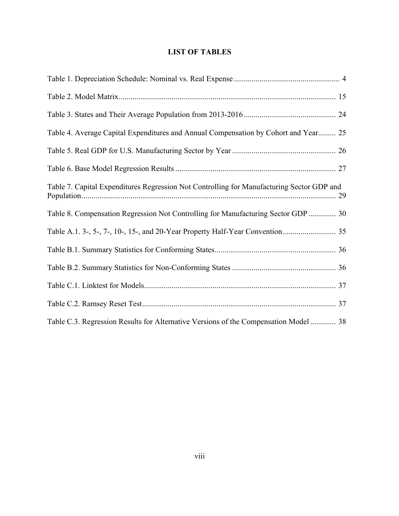# **LIST OF TABLES**

| Table 4. Average Capital Expenditures and Annual Compensation by Cohort and Year 25       |
|-------------------------------------------------------------------------------------------|
|                                                                                           |
|                                                                                           |
| Table 7. Capital Expenditures Regression Not Controlling for Manufacturing Sector GDP and |
| Table 8. Compensation Regression Not Controlling for Manufacturing Sector GDP  30         |
|                                                                                           |
|                                                                                           |
|                                                                                           |
|                                                                                           |
|                                                                                           |
| Table C.3. Regression Results for Alternative Versions of the Compensation Model  38      |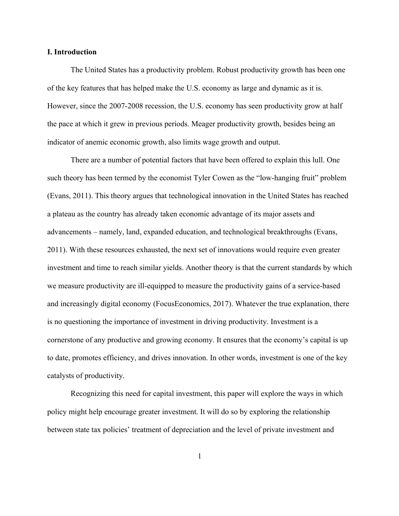#### **I. Introduction**

The United States has a productivity problem. Robust productivity growth has been one of the key features that has helped make the U.S. economy as large and dynamic as it is. However, since the 2007-2008 recession, the U.S. economy has seen productivity grow at half the pace at which it grew in previous periods. Meager productivity growth, besides being an indicator of anemic economic growth, also limits wage growth and output.

There are a number of potential factors that have been offered to explain this lull. One such theory has been termed by the economist Tyler Cowen as the "low-hanging fruit" problem (Evans, 2011). This theory argues that technological innovation in the United States has reached a plateau as the country has already taken economic advantage of its major assets and advancements – namely, land, expanded education, and technological breakthroughs (Evans, 2011). With these resources exhausted, the next set of innovations would require even greater investment and time to reach similar yields. Another theory is that the current standards by which we measure productivity are ill-equipped to measure the productivity gains of a service-based and increasingly digital economy (FocusEconomics, 2017). Whatever the true explanation, there is no questioning the importance of investment in driving productivity. Investment is a cornerstone of any productive and growing economy. It ensures that the economy's capital is up to date, promotes efficiency, and drives innovation. In other words, investment is one of the key catalysts of productivity.

Recognizing this need for capital investment, this paper will explore the ways in which policy might help encourage greater investment. It will do so by exploring the relationship between state tax policies' treatment of depreciation and the level of private investment and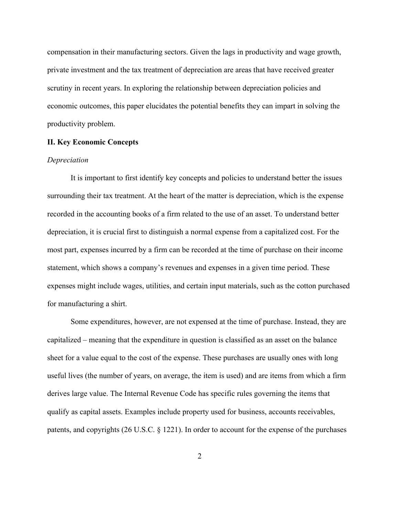compensation in their manufacturing sectors. Given the lags in productivity and wage growth, private investment and the tax treatment of depreciation are areas that have received greater scrutiny in recent years. In exploring the relationship between depreciation policies and economic outcomes, this paper elucidates the potential benefits they can impart in solving the productivity problem.

#### **II. Key Economic Concepts**

#### *Depreciation*

It is important to first identify key concepts and policies to understand better the issues surrounding their tax treatment. At the heart of the matter is depreciation, which is the expense recorded in the accounting books of a firm related to the use of an asset. To understand better depreciation, it is crucial first to distinguish a normal expense from a capitalized cost. For the most part, expenses incurred by a firm can be recorded at the time of purchase on their income statement, which shows a company's revenues and expenses in a given time period. These expenses might include wages, utilities, and certain input materials, such as the cotton purchased for manufacturing a shirt.

Some expenditures, however, are not expensed at the time of purchase. Instead, they are capitalized – meaning that the expenditure in question is classified as an asset on the balance sheet for a value equal to the cost of the expense. These purchases are usually ones with long useful lives (the number of years, on average, the item is used) and are items from which a firm derives large value. The Internal Revenue Code has specific rules governing the items that qualify as capital assets. Examples include property used for business, accounts receivables, patents, and copyrights (26 U.S.C. § 1221). In order to account for the expense of the purchases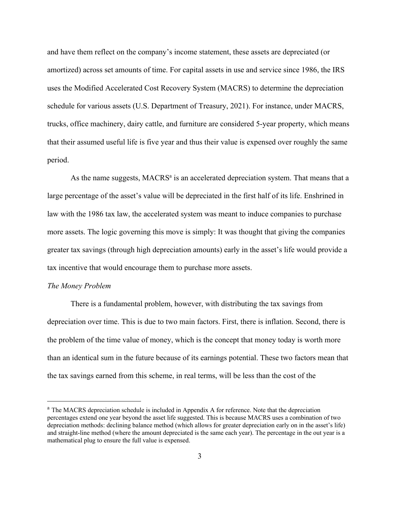and have them reflect on the company's income statement, these assets are depreciated (or amortized) across set amounts of time. For capital assets in use and service since 1986, the IRS uses the Modified Accelerated Cost Recovery System (MACRS) to determine the depreciation schedule for various assets (U.S. Department of Treasury, 2021). For instance, under MACRS, trucks, office machinery, dairy cattle, and furniture are considered 5-year property, which means that their assumed useful life is five year and thus their value is expensed over roughly the same period.

As the name suggests, MACRS<sup>a</sup> is an accelerated depreciation system. That means that a large percentage of the asset's value will be depreciated in the first half of its life. Enshrined in law with the 1986 tax law, the accelerated system was meant to induce companies to purchase more assets. The logic governing this move is simply: It was thought that giving the companies greater tax savings (through high depreciation amounts) early in the asset's life would provide a tax incentive that would encourage them to purchase more assets.

#### *The Money Problem*

There is a fundamental problem, however, with distributing the tax savings from depreciation over time. This is due to two main factors. First, there is inflation. Second, there is the problem of the time value of money, which is the concept that money today is worth more than an identical sum in the future because of its earnings potential. These two factors mean that the tax savings earned from this scheme, in real terms, will be less than the cost of the

<sup>&</sup>lt;sup>a</sup> The MACRS depreciation schedule is included in Appendix A for reference. Note that the depreciation percentages extend one year beyond the asset life suggested. This is because MACRS uses a combination of two depreciation methods: declining balance method (which allows for greater depreciation early on in the asset's life) and straight-line method (where the amount depreciated is the same each year). The percentage in the out year is a mathematical plug to ensure the full value is expensed.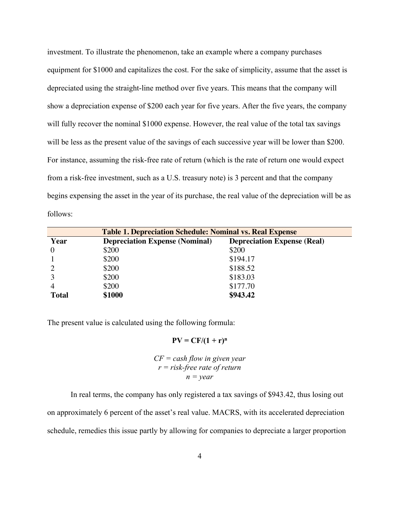investment. To illustrate the phenomenon, take an example where a company purchases equipment for \$1000 and capitalizes the cost. For the sake of simplicity, assume that the asset is depreciated using the straight-line method over five years. This means that the company will show a depreciation expense of \$200 each year for five years. After the five years, the company will fully recover the nominal \$1000 expense. However, the real value of the total tax savings will be less as the present value of the savings of each successive year will be lower than \$200. For instance, assuming the risk-free rate of return (which is the rate of return one would expect from a risk-free investment, such as a U.S. treasury note) is 3 percent and that the company begins expensing the asset in the year of its purchase, the real value of the depreciation will be as follows:

| <b>Table 1. Depreciation Schedule: Nominal vs. Real Expense</b> |                                                                             |          |  |
|-----------------------------------------------------------------|-----------------------------------------------------------------------------|----------|--|
| Year                                                            | <b>Depreciation Expense (Real)</b><br><b>Depreciation Expense (Nominal)</b> |          |  |
|                                                                 | \$200                                                                       | \$200    |  |
|                                                                 | \$200                                                                       | \$194.17 |  |
|                                                                 | \$200                                                                       | \$188.52 |  |
|                                                                 | \$200                                                                       | \$183.03 |  |
|                                                                 | \$200                                                                       | \$177.70 |  |
| <b>Total</b>                                                    | \$1000                                                                      | \$943.42 |  |

The present value is calculated using the following formula:

 $PV = CF/(1 + r)^n$ 

$$
CF = cash flow in given year
$$
  
 $r = risk-free rate of return$   
 $n = year$ 

In real terms, the company has only registered a tax savings of \$943.42, thus losing out on approximately 6 percent of the asset's real value. MACRS, with its accelerated depreciation schedule, remedies this issue partly by allowing for companies to depreciate a larger proportion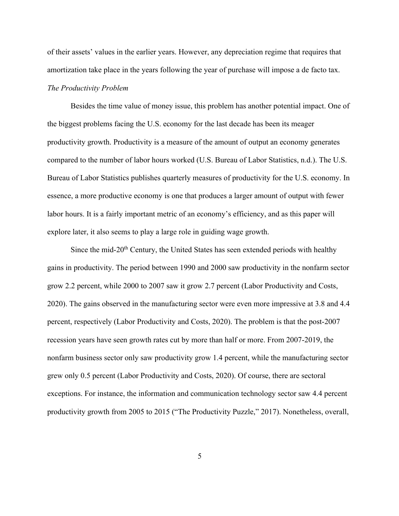of their assets' values in the earlier years. However, any depreciation regime that requires that amortization take place in the years following the year of purchase will impose a de facto tax. *The Productivity Problem*

Besides the time value of money issue, this problem has another potential impact. One of the biggest problems facing the U.S. economy for the last decade has been its meager productivity growth. Productivity is a measure of the amount of output an economy generates compared to the number of labor hours worked (U.S. Bureau of Labor Statistics, n.d.). The U.S. Bureau of Labor Statistics publishes quarterly measures of productivity for the U.S. economy. In essence, a more productive economy is one that produces a larger amount of output with fewer labor hours. It is a fairly important metric of an economy's efficiency, and as this paper will explore later, it also seems to play a large role in guiding wage growth.

Since the mid- $20<sup>th</sup>$  Century, the United States has seen extended periods with healthy gains in productivity. The period between 1990 and 2000 saw productivity in the nonfarm sector grow 2.2 percent, while 2000 to 2007 saw it grow 2.7 percent (Labor Productivity and Costs, 2020). The gains observed in the manufacturing sector were even more impressive at 3.8 and 4.4 percent, respectively (Labor Productivity and Costs, 2020). The problem is that the post-2007 recession years have seen growth rates cut by more than half or more. From 2007-2019, the nonfarm business sector only saw productivity grow 1.4 percent, while the manufacturing sector grew only 0.5 percent (Labor Productivity and Costs, 2020). Of course, there are sectoral exceptions. For instance, the information and communication technology sector saw 4.4 percent productivity growth from 2005 to 2015 ("The Productivity Puzzle," 2017). Nonetheless, overall,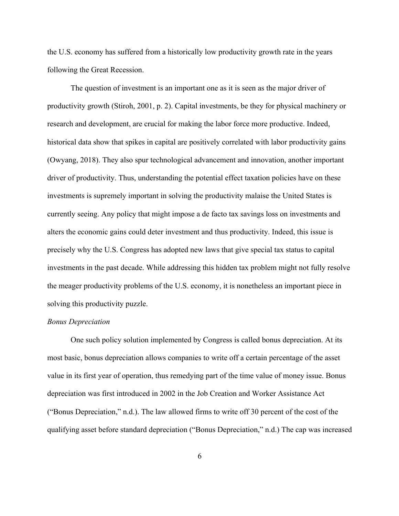the U.S. economy has suffered from a historically low productivity growth rate in the years following the Great Recession.

The question of investment is an important one as it is seen as the major driver of productivity growth (Stiroh, 2001, p. 2). Capital investments, be they for physical machinery or research and development, are crucial for making the labor force more productive. Indeed, historical data show that spikes in capital are positively correlated with labor productivity gains (Owyang, 2018). They also spur technological advancement and innovation, another important driver of productivity. Thus, understanding the potential effect taxation policies have on these investments is supremely important in solving the productivity malaise the United States is currently seeing. Any policy that might impose a de facto tax savings loss on investments and alters the economic gains could deter investment and thus productivity. Indeed, this issue is precisely why the U.S. Congress has adopted new laws that give special tax status to capital investments in the past decade. While addressing this hidden tax problem might not fully resolve the meager productivity problems of the U.S. economy, it is nonetheless an important piece in solving this productivity puzzle.

#### *Bonus Depreciation*

One such policy solution implemented by Congress is called bonus depreciation. At its most basic, bonus depreciation allows companies to write off a certain percentage of the asset value in its first year of operation, thus remedying part of the time value of money issue. Bonus depreciation was first introduced in 2002 in the Job Creation and Worker Assistance Act ("Bonus Depreciation," n.d.). The law allowed firms to write off 30 percent of the cost of the qualifying asset before standard depreciation ("Bonus Depreciation," n.d.) The cap was increased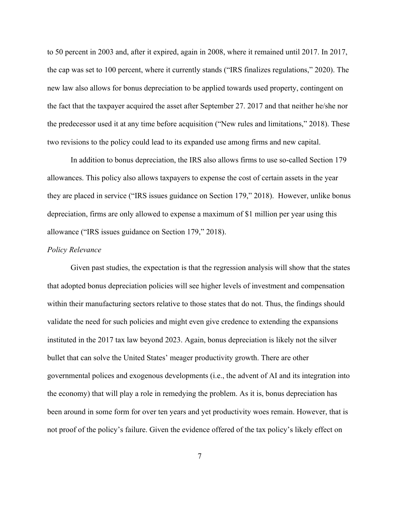to 50 percent in 2003 and, after it expired, again in 2008, where it remained until 2017. In 2017, the cap was set to 100 percent, where it currently stands ("IRS finalizes regulations," 2020). The new law also allows for bonus depreciation to be applied towards used property, contingent on the fact that the taxpayer acquired the asset after September 27. 2017 and that neither he/she nor the predecessor used it at any time before acquisition ("New rules and limitations," 2018). These two revisions to the policy could lead to its expanded use among firms and new capital.

In addition to bonus depreciation, the IRS also allows firms to use so-called Section 179 allowances. This policy also allows taxpayers to expense the cost of certain assets in the year they are placed in service ("IRS issues guidance on Section 179," 2018). However, unlike bonus depreciation, firms are only allowed to expense a maximum of \$1 million per year using this allowance ("IRS issues guidance on Section 179," 2018).

#### *Policy Relevance*

Given past studies, the expectation is that the regression analysis will show that the states that adopted bonus depreciation policies will see higher levels of investment and compensation within their manufacturing sectors relative to those states that do not. Thus, the findings should validate the need for such policies and might even give credence to extending the expansions instituted in the 2017 tax law beyond 2023. Again, bonus depreciation is likely not the silver bullet that can solve the United States' meager productivity growth. There are other governmental polices and exogenous developments (i.e., the advent of AI and its integration into the economy) that will play a role in remedying the problem. As it is, bonus depreciation has been around in some form for over ten years and yet productivity woes remain. However, that is not proof of the policy's failure. Given the evidence offered of the tax policy's likely effect on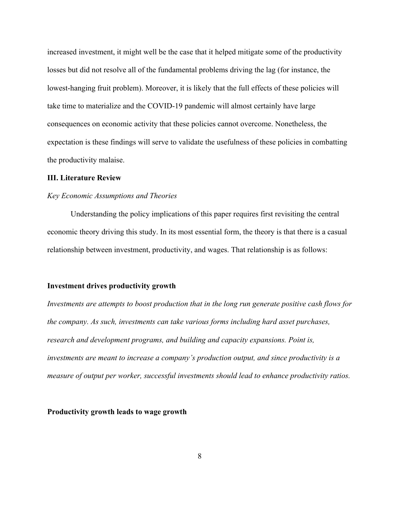increased investment, it might well be the case that it helped mitigate some of the productivity losses but did not resolve all of the fundamental problems driving the lag (for instance, the lowest-hanging fruit problem). Moreover, it is likely that the full effects of these policies will take time to materialize and the COVID-19 pandemic will almost certainly have large consequences on economic activity that these policies cannot overcome. Nonetheless, the expectation is these findings will serve to validate the usefulness of these policies in combatting the productivity malaise.

#### **III. Literature Review**

#### *Key Economic Assumptions and Theories*

Understanding the policy implications of this paper requires first revisiting the central economic theory driving this study. In its most essential form, the theory is that there is a casual relationship between investment, productivity, and wages. That relationship is as follows:

#### **Investment drives productivity growth**

*Investments are attempts to boost production that in the long run generate positive cash flows for the company. As such, investments can take various forms including hard asset purchases, research and development programs, and building and capacity expansions. Point is, investments are meant to increase a company's production output, and since productivity is a measure of output per worker, successful investments should lead to enhance productivity ratios.*

#### **Productivity growth leads to wage growth**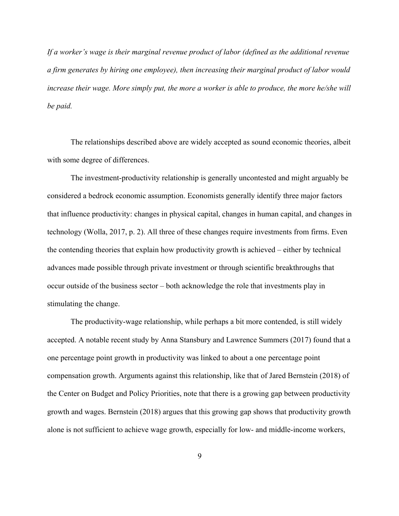*If a worker's wage is their marginal revenue product of labor (defined as the additional revenue a firm generates by hiring one employee), then increasing their marginal product of labor would increase their wage. More simply put, the more a worker is able to produce, the more he/she will be paid.*

The relationships described above are widely accepted as sound economic theories, albeit with some degree of differences.

The investment-productivity relationship is generally uncontested and might arguably be considered a bedrock economic assumption. Economists generally identify three major factors that influence productivity: changes in physical capital, changes in human capital, and changes in technology (Wolla, 2017, p. 2). All three of these changes require investments from firms. Even the contending theories that explain how productivity growth is achieved – either by technical advances made possible through private investment or through scientific breakthroughs that occur outside of the business sector – both acknowledge the role that investments play in stimulating the change.

The productivity-wage relationship, while perhaps a bit more contended, is still widely accepted. A notable recent study by Anna Stansbury and Lawrence Summers (2017) found that a one percentage point growth in productivity was linked to about a one percentage point compensation growth. Arguments against this relationship, like that of Jared Bernstein (2018) of the Center on Budget and Policy Priorities, note that there is a growing gap between productivity growth and wages. Bernstein (2018) argues that this growing gap shows that productivity growth alone is not sufficient to achieve wage growth, especially for low- and middle-income workers,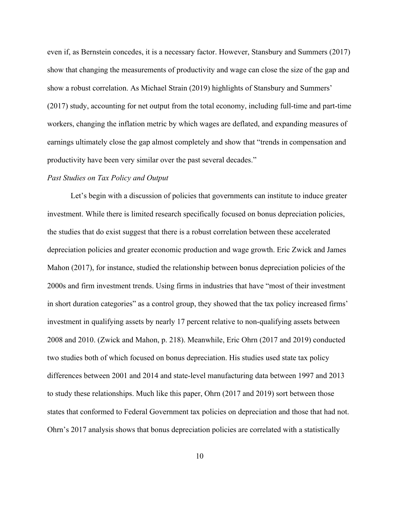even if, as Bernstein concedes, it is a necessary factor. However, Stansbury and Summers (2017) show that changing the measurements of productivity and wage can close the size of the gap and show a robust correlation. As Michael Strain (2019) highlights of Stansbury and Summers' (2017) study, accounting for net output from the total economy, including full-time and part-time workers, changing the inflation metric by which wages are deflated, and expanding measures of earnings ultimately close the gap almost completely and show that "trends in compensation and productivity have been very similar over the past several decades."

#### *Past Studies on Tax Policy and Output*

Let's begin with a discussion of policies that governments can institute to induce greater investment. While there is limited research specifically focused on bonus depreciation policies, the studies that do exist suggest that there is a robust correlation between these accelerated depreciation policies and greater economic production and wage growth. Eric Zwick and James Mahon (2017), for instance, studied the relationship between bonus depreciation policies of the 2000s and firm investment trends. Using firms in industries that have "most of their investment in short duration categories" as a control group, they showed that the tax policy increased firms' investment in qualifying assets by nearly 17 percent relative to non-qualifying assets between 2008 and 2010. (Zwick and Mahon, p. 218). Meanwhile, Eric Ohrn (2017 and 2019) conducted two studies both of which focused on bonus depreciation. His studies used state tax policy differences between 2001 and 2014 and state-level manufacturing data between 1997 and 2013 to study these relationships. Much like this paper, Ohrn (2017 and 2019) sort between those states that conformed to Federal Government tax policies on depreciation and those that had not. Ohrn's 2017 analysis shows that bonus depreciation policies are correlated with a statistically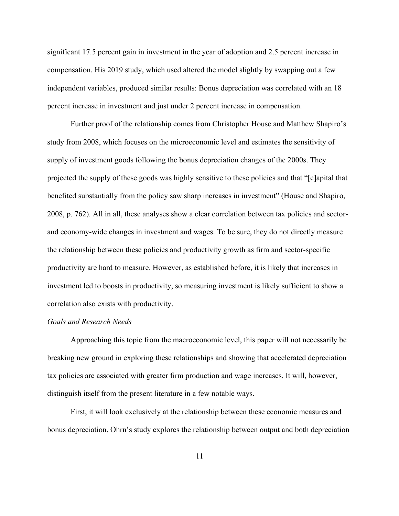significant 17.5 percent gain in investment in the year of adoption and 2.5 percent increase in compensation. His 2019 study, which used altered the model slightly by swapping out a few independent variables, produced similar results: Bonus depreciation was correlated with an 18 percent increase in investment and just under 2 percent increase in compensation.

Further proof of the relationship comes from Christopher House and Matthew Shapiro's study from 2008, which focuses on the microeconomic level and estimates the sensitivity of supply of investment goods following the bonus depreciation changes of the 2000s. They projected the supply of these goods was highly sensitive to these policies and that "[c]apital that benefited substantially from the policy saw sharp increases in investment" (House and Shapiro, 2008, p. 762). All in all, these analyses show a clear correlation between tax policies and sectorand economy-wide changes in investment and wages. To be sure, they do not directly measure the relationship between these policies and productivity growth as firm and sector-specific productivity are hard to measure. However, as established before, it is likely that increases in investment led to boosts in productivity, so measuring investment is likely sufficient to show a correlation also exists with productivity.

#### *Goals and Research Needs*

Approaching this topic from the macroeconomic level, this paper will not necessarily be breaking new ground in exploring these relationships and showing that accelerated depreciation tax policies are associated with greater firm production and wage increases. It will, however, distinguish itself from the present literature in a few notable ways.

First, it will look exclusively at the relationship between these economic measures and bonus depreciation. Ohrn's study explores the relationship between output and both depreciation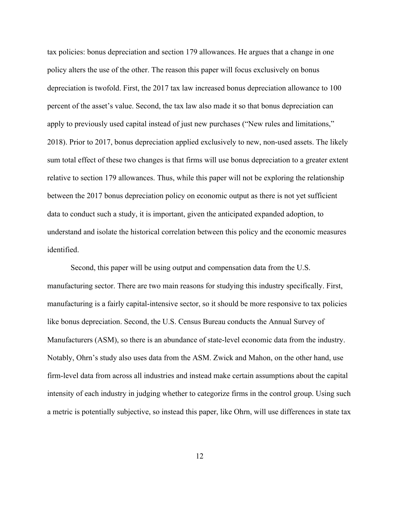tax policies: bonus depreciation and section 179 allowances. He argues that a change in one policy alters the use of the other. The reason this paper will focus exclusively on bonus depreciation is twofold. First, the 2017 tax law increased bonus depreciation allowance to 100 percent of the asset's value. Second, the tax law also made it so that bonus depreciation can apply to previously used capital instead of just new purchases ("New rules and limitations," 2018). Prior to 2017, bonus depreciation applied exclusively to new, non-used assets. The likely sum total effect of these two changes is that firms will use bonus depreciation to a greater extent relative to section 179 allowances. Thus, while this paper will not be exploring the relationship between the 2017 bonus depreciation policy on economic output as there is not yet sufficient data to conduct such a study, it is important, given the anticipated expanded adoption, to understand and isolate the historical correlation between this policy and the economic measures identified.

Second, this paper will be using output and compensation data from the U.S. manufacturing sector. There are two main reasons for studying this industry specifically. First, manufacturing is a fairly capital-intensive sector, so it should be more responsive to tax policies like bonus depreciation. Second, the U.S. Census Bureau conducts the Annual Survey of Manufacturers (ASM), so there is an abundance of state-level economic data from the industry. Notably, Ohrn's study also uses data from the ASM. Zwick and Mahon, on the other hand, use firm-level data from across all industries and instead make certain assumptions about the capital intensity of each industry in judging whether to categorize firms in the control group. Using such a metric is potentially subjective, so instead this paper, like Ohrn, will use differences in state tax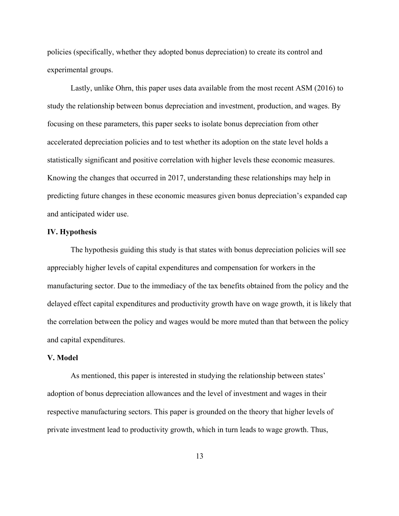policies (specifically, whether they adopted bonus depreciation) to create its control and experimental groups.

Lastly, unlike Ohrn, this paper uses data available from the most recent ASM (2016) to study the relationship between bonus depreciation and investment, production, and wages. By focusing on these parameters, this paper seeks to isolate bonus depreciation from other accelerated depreciation policies and to test whether its adoption on the state level holds a statistically significant and positive correlation with higher levels these economic measures. Knowing the changes that occurred in 2017, understanding these relationships may help in predicting future changes in these economic measures given bonus depreciation's expanded cap and anticipated wider use.

#### **IV. Hypothesis**

The hypothesis guiding this study is that states with bonus depreciation policies will see appreciably higher levels of capital expenditures and compensation for workers in the manufacturing sector. Due to the immediacy of the tax benefits obtained from the policy and the delayed effect capital expenditures and productivity growth have on wage growth, it is likely that the correlation between the policy and wages would be more muted than that between the policy and capital expenditures.

#### **V. Model**

As mentioned, this paper is interested in studying the relationship between states' adoption of bonus depreciation allowances and the level of investment and wages in their respective manufacturing sectors. This paper is grounded on the theory that higher levels of private investment lead to productivity growth, which in turn leads to wage growth. Thus,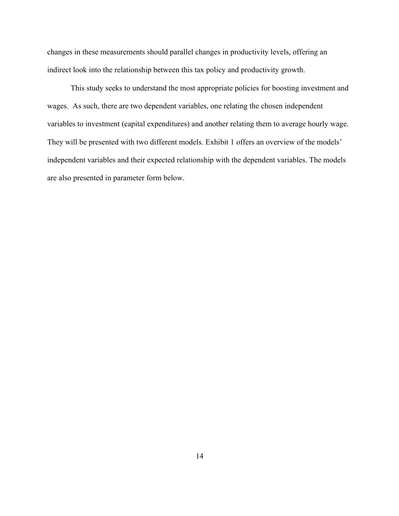changes in these measurements should parallel changes in productivity levels, offering an indirect look into the relationship between this tax policy and productivity growth.

This study seeks to understand the most appropriate policies for boosting investment and wages. As such, there are two dependent variables, one relating the chosen independent variables to investment (capital expenditures) and another relating them to average hourly wage. They will be presented with two different models. Exhibit 1 offers an overview of the models' independent variables and their expected relationship with the dependent variables. The models are also presented in parameter form below.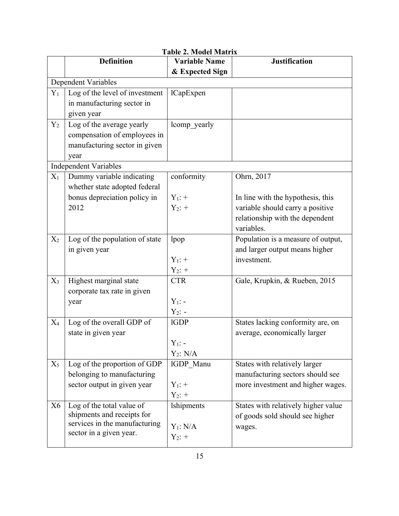|       | <b>Definition</b>                                        | I ADIC 4. IVIOUCI IVIALI IX<br><b>Variable Name</b> | <b>Justification</b>                |
|-------|----------------------------------------------------------|-----------------------------------------------------|-------------------------------------|
|       |                                                          | & Expected Sign                                     |                                     |
|       | <b>Dependent Variables</b>                               |                                                     |                                     |
| $Y_1$ | Log of the level of investment                           | lCapExpen                                           |                                     |
|       | in manufacturing sector in                               |                                                     |                                     |
|       | given year                                               |                                                     |                                     |
|       |                                                          |                                                     |                                     |
| $Y_2$ | Log of the average yearly                                | lcomp yearly                                        |                                     |
|       | compensation of employees in                             |                                                     |                                     |
|       | manufacturing sector in given                            |                                                     |                                     |
|       | year                                                     |                                                     |                                     |
|       | <b>Independent Variables</b>                             |                                                     |                                     |
| $X_1$ | Dummy variable indicating                                | conformity                                          | Ohrn, 2017                          |
|       | whether state adopted federal                            |                                                     |                                     |
|       | bonus depreciation policy in                             | $Y_1$ : +                                           | In line with the hypothesis, this   |
|       | 2012                                                     | $Y_2$ : +                                           | variable should carry a positive    |
|       |                                                          |                                                     | relationship with the dependent     |
|       |                                                          |                                                     | variables.                          |
| $X_2$ | Log of the population of state                           | lpop                                                | Population is a measure of output,  |
|       | in given year                                            |                                                     | and larger output means higher      |
|       |                                                          | $Y_1$ : +                                           | investment.                         |
|       |                                                          | $Y_2$ : +                                           |                                     |
| $X_3$ | Highest marginal state                                   | <b>CTR</b>                                          | Gale, Krupkin, & Rueben, 2015       |
|       | corporate tax rate in given                              |                                                     |                                     |
|       | year                                                     | $Y_1$ : -                                           |                                     |
|       |                                                          | $Y_2$ : -                                           |                                     |
| $X_4$ | Log of the overall GDP of                                | 1GDP                                                | States lacking conformity are, on   |
|       | state in given year                                      |                                                     | average, economically larger        |
|       |                                                          | $Y_1$ : -                                           |                                     |
|       |                                                          | $Y_2$ : N/A                                         |                                     |
| $X_5$ | Log of the proportion of GDP                             | IGDP Manu                                           | States with relatively larger       |
|       | belonging to manufacturing                               |                                                     | manufacturing sectors should see    |
|       | sector output in given year                              | $Y_1$ : +                                           | more investment and higher wages.   |
|       |                                                          | $Y_2$ : +                                           |                                     |
| X6    | Log of the total value of                                | <b>lshipments</b>                                   | States with relatively higher value |
|       | shipments and receipts for                               |                                                     | of goods sold should see higher     |
|       | services in the manufacturing<br>sector in a given year. | $Y_1: N/A$                                          | wages.                              |
|       |                                                          | $Y_2$ : +                                           |                                     |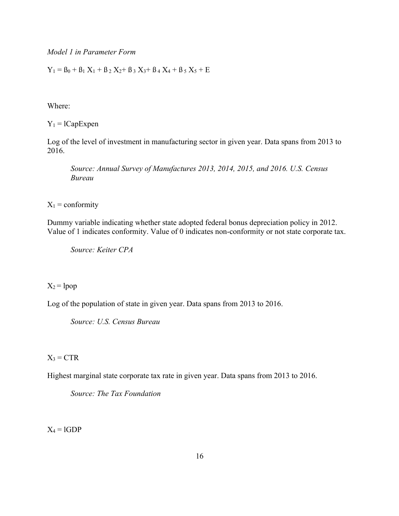*Model 1 in Parameter Form*

 $Y_1 = B_0 + B_1 X_1 + B_2 X_2 + B_3 X_3 + B_4 X_4 + B_5 X_5 + E$ 

Where:

 $Y_1 = lCapExpen$ 

Log of the level of investment in manufacturing sector in given year. Data spans from 2013 to 2016.

*Source: Annual Survey of Manufactures 2013, 2014, 2015, and 2016. U.S. Census Bureau*

 $X_1$  = conformity

Dummy variable indicating whether state adopted federal bonus depreciation policy in 2012. Value of 1 indicates conformity. Value of 0 indicates non-conformity or not state corporate tax.

*Source: Keiter CPA*

 $X_2 =$ lpop

Log of the population of state in given year. Data spans from 2013 to 2016.

*Source: U.S. Census Bureau*

 $X_3 = CTR$ 

Highest marginal state corporate tax rate in given year. Data spans from 2013 to 2016.

*Source: The Tax Foundation*

 $X_4 = 1GDP$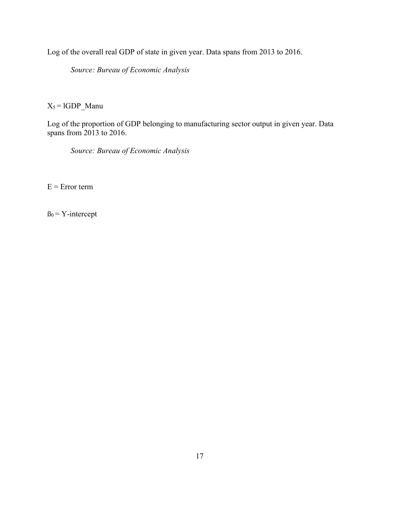Log of the overall real GDP of state in given year. Data spans from 2013 to 2016.

*Source: Bureau of Economic Analysis*

 $X_5 = 1GDP_M$ anu

Log of the proportion of GDP belonging to manufacturing sector output in given year. Data spans from 2013 to 2016.

*Source: Bureau of Economic Analysis*

 $E = Error term$ 

 $B_0 = Y\text{-intercept}$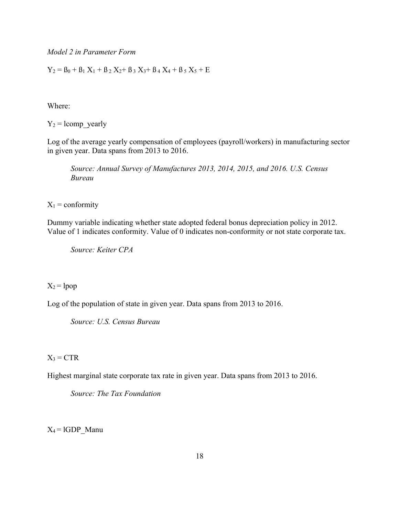*Model 2 in Parameter Form*

 $Y_2 = B_0 + B_1 X_1 + B_2 X_2 + B_3 X_3 + B_4 X_4 + B_5 X_5 + E$ 

Where:

 $Y_2$  = lcomp\_yearly

Log of the average yearly compensation of employees (payroll/workers) in manufacturing sector in given year. Data spans from 2013 to 2016.

*Source: Annual Survey of Manufactures 2013, 2014, 2015, and 2016. U.S. Census Bureau*

 $X_1$  = conformity

Dummy variable indicating whether state adopted federal bonus depreciation policy in 2012. Value of 1 indicates conformity. Value of 0 indicates non-conformity or not state corporate tax.

*Source: Keiter CPA*

 $X_2 =$ lpop

Log of the population of state in given year. Data spans from 2013 to 2016.

*Source: U.S. Census Bureau*

 $X_3 = CTR$ 

Highest marginal state corporate tax rate in given year. Data spans from 2013 to 2016.

*Source: The Tax Foundation*

 $X_4 = 1GDP$  Manu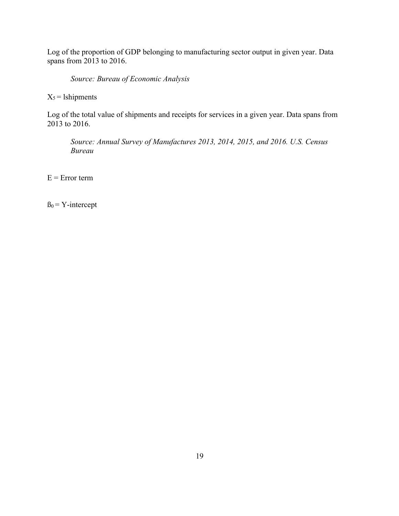Log of the proportion of GDP belonging to manufacturing sector output in given year. Data spans from 2013 to 2016.

*Source: Bureau of Economic Analysis*

 $X_5$  = 1shipments

Log of the total value of shipments and receipts for services in a given year. Data spans from 2013 to 2016.

*Source: Annual Survey of Manufactures 2013, 2014, 2015, and 2016. U.S. Census Bureau*

 $E = Error term$ 

 $B_0 = Y\text{-intercept}$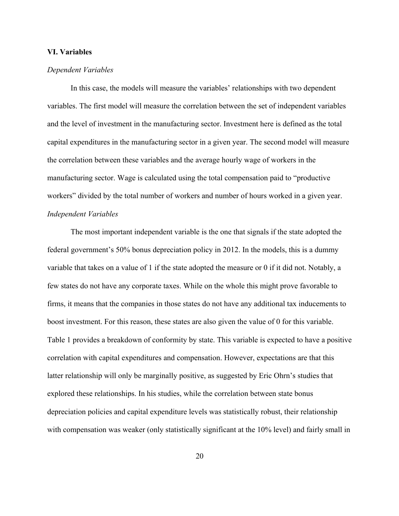#### **VI. Variables**

#### *Dependent Variables*

In this case, the models will measure the variables' relationships with two dependent variables. The first model will measure the correlation between the set of independent variables and the level of investment in the manufacturing sector. Investment here is defined as the total capital expenditures in the manufacturing sector in a given year. The second model will measure the correlation between these variables and the average hourly wage of workers in the manufacturing sector. Wage is calculated using the total compensation paid to "productive workers" divided by the total number of workers and number of hours worked in a given year. *Independent Variables*

The most important independent variable is the one that signals if the state adopted the federal government's 50% bonus depreciation policy in 2012. In the models, this is a dummy variable that takes on a value of 1 if the state adopted the measure or 0 if it did not. Notably, a few states do not have any corporate taxes. While on the whole this might prove favorable to firms, it means that the companies in those states do not have any additional tax inducements to boost investment. For this reason, these states are also given the value of 0 for this variable. Table 1 provides a breakdown of conformity by state. This variable is expected to have a positive correlation with capital expenditures and compensation. However, expectations are that this latter relationship will only be marginally positive, as suggested by Eric Ohrn's studies that explored these relationships. In his studies, while the correlation between state bonus depreciation policies and capital expenditure levels was statistically robust, their relationship with compensation was weaker (only statistically significant at the 10% level) and fairly small in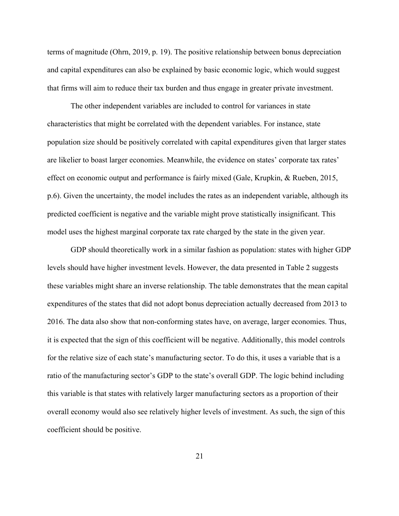terms of magnitude (Ohrn, 2019, p. 19). The positive relationship between bonus depreciation and capital expenditures can also be explained by basic economic logic, which would suggest that firms will aim to reduce their tax burden and thus engage in greater private investment.

The other independent variables are included to control for variances in state characteristics that might be correlated with the dependent variables. For instance, state population size should be positively correlated with capital expenditures given that larger states are likelier to boast larger economies. Meanwhile, the evidence on states' corporate tax rates' effect on economic output and performance is fairly mixed (Gale, Krupkin, & Rueben, 2015, p.6). Given the uncertainty, the model includes the rates as an independent variable, although its predicted coefficient is negative and the variable might prove statistically insignificant. This model uses the highest marginal corporate tax rate charged by the state in the given year.

GDP should theoretically work in a similar fashion as population: states with higher GDP levels should have higher investment levels. However, the data presented in Table 2 suggests these variables might share an inverse relationship. The table demonstrates that the mean capital expenditures of the states that did not adopt bonus depreciation actually decreased from 2013 to 2016. The data also show that non-conforming states have, on average, larger economies. Thus, it is expected that the sign of this coefficient will be negative. Additionally, this model controls for the relative size of each state's manufacturing sector. To do this, it uses a variable that is a ratio of the manufacturing sector's GDP to the state's overall GDP. The logic behind including this variable is that states with relatively larger manufacturing sectors as a proportion of their overall economy would also see relatively higher levels of investment. As such, the sign of this coefficient should be positive.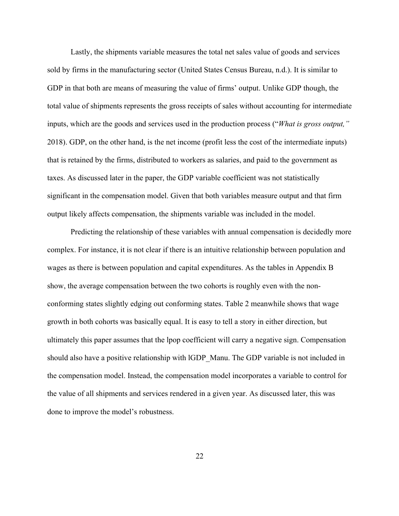Lastly, the shipments variable measures the total net sales value of goods and services sold by firms in the manufacturing sector (United States Census Bureau, n.d.). It is similar to GDP in that both are means of measuring the value of firms' output. Unlike GDP though, the total value of shipments represents the gross receipts of sales without accounting for intermediate inputs, which are the goods and services used in the production process ("*What is gross output,"*  2018). GDP, on the other hand, is the net income (profit less the cost of the intermediate inputs) that is retained by the firms, distributed to workers as salaries, and paid to the government as taxes. As discussed later in the paper, the GDP variable coefficient was not statistically significant in the compensation model. Given that both variables measure output and that firm output likely affects compensation, the shipments variable was included in the model.

Predicting the relationship of these variables with annual compensation is decidedly more complex. For instance, it is not clear if there is an intuitive relationship between population and wages as there is between population and capital expenditures. As the tables in Appendix B show, the average compensation between the two cohorts is roughly even with the nonconforming states slightly edging out conforming states. Table 2 meanwhile shows that wage growth in both cohorts was basically equal. It is easy to tell a story in either direction, but ultimately this paper assumes that the lpop coefficient will carry a negative sign. Compensation should also have a positive relationship with lGDP\_Manu. The GDP variable is not included in the compensation model. Instead, the compensation model incorporates a variable to control for the value of all shipments and services rendered in a given year. As discussed later, this was done to improve the model's robustness.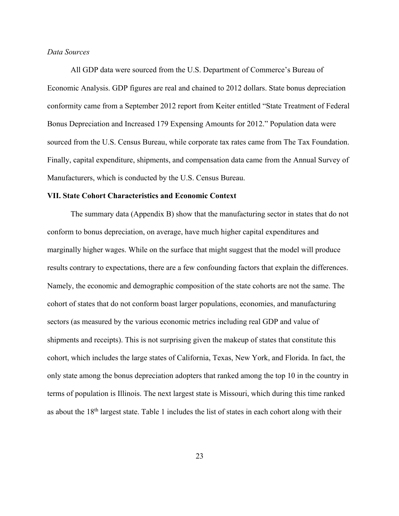#### *Data Sources*

All GDP data were sourced from the U.S. Department of Commerce's Bureau of Economic Analysis. GDP figures are real and chained to 2012 dollars. State bonus depreciation conformity came from a September 2012 report from Keiter entitled "State Treatment of Federal Bonus Depreciation and Increased 179 Expensing Amounts for 2012." Population data were sourced from the U.S. Census Bureau, while corporate tax rates came from The Tax Foundation. Finally, capital expenditure, shipments, and compensation data came from the Annual Survey of Manufacturers, which is conducted by the U.S. Census Bureau.

#### **VII. State Cohort Characteristics and Economic Context**

The summary data (Appendix B) show that the manufacturing sector in states that do not conform to bonus depreciation, on average, have much higher capital expenditures and marginally higher wages. While on the surface that might suggest that the model will produce results contrary to expectations, there are a few confounding factors that explain the differences. Namely, the economic and demographic composition of the state cohorts are not the same. The cohort of states that do not conform boast larger populations, economies, and manufacturing sectors (as measured by the various economic metrics including real GDP and value of shipments and receipts). This is not surprising given the makeup of states that constitute this cohort, which includes the large states of California, Texas, New York, and Florida. In fact, the only state among the bonus depreciation adopters that ranked among the top 10 in the country in terms of population is Illinois. The next largest state is Missouri, which during this time ranked as about the 18th largest state. Table 1 includes the list of states in each cohort along with their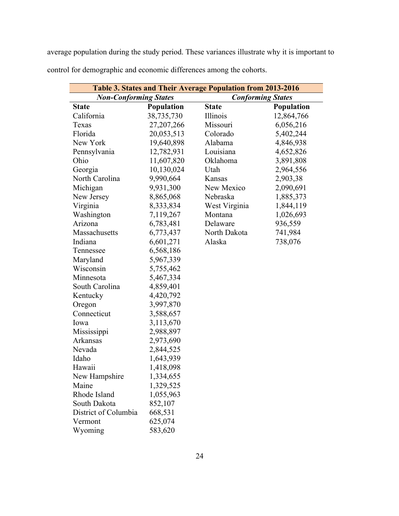average population during the study period. These variances illustrate why it is important to control for demographic and economic differences among the cohorts.

| Table 3. States and Their Average Population from 2013-2016 |                   |                          |            |  |
|-------------------------------------------------------------|-------------------|--------------------------|------------|--|
| <b>Non-Conforming States</b>                                |                   | <b>Conforming States</b> |            |  |
| <b>State</b>                                                | <b>Population</b> | <b>State</b>             | Population |  |
| California                                                  | 38,735,730        | Illinois                 | 12,864,766 |  |
| Texas                                                       | 27,207,266        | Missouri                 | 6,056,216  |  |
| Florida                                                     | 20,053,513        | Colorado                 | 5,402,244  |  |
| New York                                                    | 19,640,898        | Alabama                  | 4,846,938  |  |
| Pennsylvania                                                | 12,782,931        | Louisiana                | 4,652,826  |  |
| Ohio                                                        | 11,607,820        | Oklahoma                 | 3,891,808  |  |
| Georgia                                                     | 10,130,024        | Utah                     | 2,964,556  |  |
| North Carolina                                              | 9,990,664         | Kansas                   | 2,903,38   |  |
| Michigan                                                    | 9,931,300         | New Mexico               | 2,090,691  |  |
| New Jersey                                                  | 8,865,068         | Nebraska                 | 1,885,373  |  |
| Virginia                                                    | 8,333,834         | West Virginia            | 1,844,119  |  |
| Washington                                                  | 7,119,267         | Montana                  | 1,026,693  |  |
| Arizona                                                     | 6,783,481         | Delaware                 | 936,559    |  |
| Massachusetts                                               | 6,773,437         | North Dakota             | 741,984    |  |
| Indiana                                                     | 6,601,271         | Alaska                   | 738,076    |  |
| Tennessee                                                   | 6,568,186         |                          |            |  |
| Maryland                                                    | 5,967,339         |                          |            |  |
| Wisconsin                                                   | 5,755,462         |                          |            |  |
| Minnesota                                                   | 5,467,334         |                          |            |  |
| South Carolina                                              | 4,859,401         |                          |            |  |
| Kentucky                                                    | 4,420,792         |                          |            |  |
| Oregon                                                      | 3,997,870         |                          |            |  |
| Connecticut                                                 | 3,588,657         |                          |            |  |
| Iowa                                                        | 3,113,670         |                          |            |  |
| Mississippi                                                 | 2,988,897         |                          |            |  |
| <b>Arkansas</b>                                             | 2,973,690         |                          |            |  |
| Nevada                                                      | 2,844,525         |                          |            |  |
| Idaho                                                       | 1,643,939         |                          |            |  |
| Hawaii                                                      | 1,418,098         |                          |            |  |
| New Hampshire                                               | 1,334,655         |                          |            |  |
| Maine                                                       | 1,329,525         |                          |            |  |
| Rhode Island                                                | 1,055,963         |                          |            |  |
| South Dakota                                                | 852,107           |                          |            |  |
| District of Columbia                                        | 668,531           |                          |            |  |
| Vermont                                                     | 625,074           |                          |            |  |
| Wyoming                                                     | 583,620           |                          |            |  |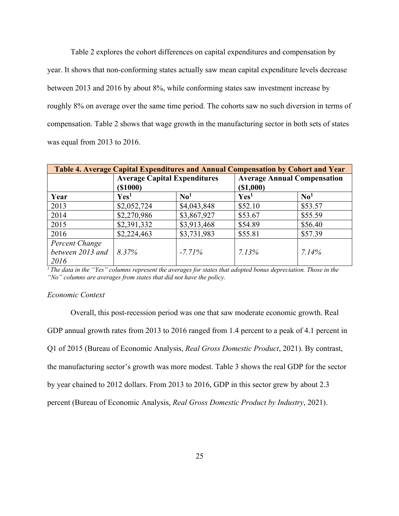Table 2 explores the cohort differences on capital expenditures and compensation by year. It shows that non-conforming states actually saw mean capital expenditure levels decrease between 2013 and 2016 by about 8%, while conforming states saw investment increase by roughly 8% on average over the same time period. The cohorts saw no such diversion in terms of compensation. Table 2 shows that wage growth in the manufacturing sector in both sets of states was equal from 2013 to 2016.

| Table 4. Average Capital Expenditures and Annual Compensation by Cohort and Year |                                     |                           |                                    |                           |
|----------------------------------------------------------------------------------|-------------------------------------|---------------------------|------------------------------------|---------------------------|
|                                                                                  | <b>Average Capital Expenditures</b> |                           | <b>Average Annual Compensation</b> |                           |
|                                                                                  | ( \$1000)                           |                           | (\$1,000)                          |                           |
| Year                                                                             | Yes <sup>1</sup>                    | $\mathbf{N} \mathbf{0}^1$ | Yes <sup>1</sup>                   | $\mathbf{N} \mathbf{0}^1$ |
| 2013                                                                             | \$2,052,724                         | \$4,043,848               | \$52.10                            | \$53.57                   |
| 2014                                                                             | \$2,270,986                         | \$3,867,927               | \$53.67                            | \$55.59                   |
| 2015                                                                             | \$2,391,332                         | \$3,913,468               | \$54.89                            | \$56.40                   |
| 2016                                                                             | \$2,224,463                         | \$3,731,983               | \$55.81                            | \$57.39                   |
| Percent Change                                                                   |                                     |                           |                                    |                           |
| between 2013 and                                                                 | 8.37%                               | $-7.71\%$                 | 7.13%                              | 7.14%                     |
| 2016                                                                             |                                     |                           |                                    |                           |

*1 The data in the "Yes" columns represent the averages for states that adopted bonus depreciation. Those in the "No" columns are averages from states that did not have the policy.* 

#### *Economic Context*

Overall, this post-recession period was one that saw moderate economic growth. Real GDP annual growth rates from 2013 to 2016 ranged from 1.4 percent to a peak of 4.1 percent in Q1 of 2015 (Bureau of Economic Analysis, *Real Gross Domestic Product*, 2021). By contrast, the manufacturing sector's growth was more modest. Table 3 shows the real GDP for the sector by year chained to 2012 dollars. From 2013 to 2016, GDP in this sector grew by about 2.3 percent (Bureau of Economic Analysis, *Real Gross Domestic Product by Industry*, 2021).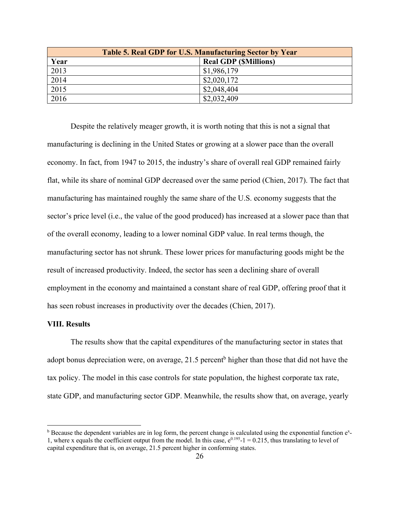| Table 5. Real GDP for U.S. Manufacturing Sector by Year |                             |  |
|---------------------------------------------------------|-----------------------------|--|
| Year                                                    | <b>Real GDP (SMillions)</b> |  |
| 2013                                                    | \$1,986,179                 |  |
| 2014                                                    | \$2,020,172                 |  |
| 2015                                                    | \$2,048,404                 |  |
| 2016                                                    | \$2,032,409                 |  |

Despite the relatively meager growth, it is worth noting that this is not a signal that manufacturing is declining in the United States or growing at a slower pace than the overall economy. In fact, from 1947 to 2015, the industry's share of overall real GDP remained fairly flat, while its share of nominal GDP decreased over the same period (Chien, 2017). The fact that manufacturing has maintained roughly the same share of the U.S. economy suggests that the sector's price level (i.e., the value of the good produced) has increased at a slower pace than that of the overall economy, leading to a lower nominal GDP value. In real terms though, the manufacturing sector has not shrunk. These lower prices for manufacturing goods might be the result of increased productivity. Indeed, the sector has seen a declining share of overall employment in the economy and maintained a constant share of real GDP, offering proof that it has seen robust increases in productivity over the decades (Chien, 2017).

#### **VIII. Results**

The results show that the capital expenditures of the manufacturing sector in states that adopt bonus depreciation were, on average, 21.5 percent<sup>b</sup> higher than those that did not have the tax policy. The model in this case controls for state population, the highest corporate tax rate, state GDP, and manufacturing sector GDP. Meanwhile, the results show that, on average, yearly

 $b$  Because the dependent variables are in log form, the percent change is calculated using the exponential function  $e^x$ -1, where x equals the coefficient output from the model. In this case,  $e^{0.195}$ -1 = 0.215, thus translating to level of capital expenditure that is, on average, 21.5 percent higher in conforming states.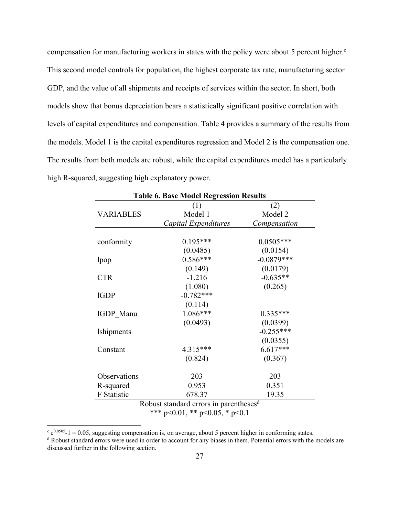compensation for manufacturing workers in states with the policy were about 5 percent higher.<sup>c</sup> This second model controls for population, the highest corporate tax rate, manufacturing sector GDP, and the value of all shipments and receipts of services within the sector. In short, both models show that bonus depreciation bears a statistically significant positive correlation with levels of capital expenditures and compensation. Table 4 provides a summary of the results from the models. Model 1 is the capital expenditures regression and Model 2 is the compensation one. The results from both models are robust, while the capital expenditures model has a particularly high R-squared, suggesting high explanatory power.

| <b>Table 6. Base Model Regression Results</b> |                      |              |  |
|-----------------------------------------------|----------------------|--------------|--|
|                                               | (1)                  | (2)          |  |
| <b>VARIABLES</b>                              | Model 1              | Model 2      |  |
|                                               | Capital Expenditures | Compensation |  |
|                                               |                      |              |  |
| conformity                                    | $0.195***$           | $0.0505***$  |  |
|                                               | (0.0485)             | (0.0154)     |  |
| lpop                                          | $0.586***$           | $-0.0879***$ |  |
|                                               | (0.149)              | (0.0179)     |  |
| <b>CTR</b>                                    | $-1.216$             | $-0.635**$   |  |
|                                               | (1.080)              | (0.265)      |  |
| <b>IGDP</b>                                   | $-0.782***$          |              |  |
|                                               | (0.114)              |              |  |
| IGDP Manu                                     | $1.086***$           | $0.335***$   |  |
|                                               | (0.0493)             | (0.0399)     |  |
| <b>lshipments</b>                             |                      | $-0.255***$  |  |
|                                               |                      | (0.0355)     |  |
| Constant                                      | $4.315***$           | $6.617***$   |  |
|                                               | (0.824)              | (0.367)      |  |
|                                               |                      |              |  |
| Observations                                  | 203                  | 203          |  |
| R-squared                                     | 0.953                | 0.351        |  |
| F Statistic                                   | 678.37               | 19.35        |  |

Robust standard errors in parentheses<sup>d</sup> \*\*\* p<0.01, \*\* p<0.05, \* p<0.1

 $c$  e<sup>0.0505</sup>-1 = 0.05, suggesting compensation is, on average, about 5 percent higher in conforming states.

<sup>d</sup> Robust standard errors were used in order to account for any biases in them. Potential errors with the models are discussed further in the following section.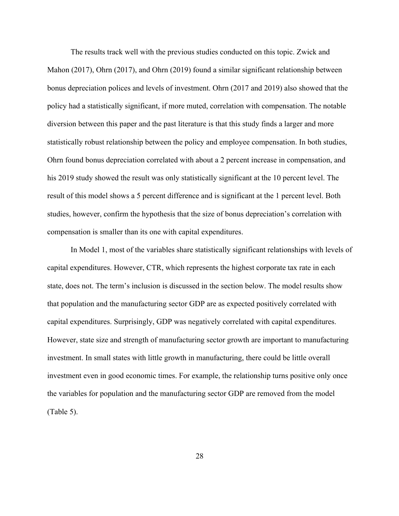The results track well with the previous studies conducted on this topic. Zwick and Mahon (2017), Ohrn (2017), and Ohrn (2019) found a similar significant relationship between bonus depreciation polices and levels of investment. Ohrn (2017 and 2019) also showed that the policy had a statistically significant, if more muted, correlation with compensation. The notable diversion between this paper and the past literature is that this study finds a larger and more statistically robust relationship between the policy and employee compensation. In both studies, Ohrn found bonus depreciation correlated with about a 2 percent increase in compensation, and his 2019 study showed the result was only statistically significant at the 10 percent level. The result of this model shows a 5 percent difference and is significant at the 1 percent level. Both studies, however, confirm the hypothesis that the size of bonus depreciation's correlation with compensation is smaller than its one with capital expenditures.

In Model 1, most of the variables share statistically significant relationships with levels of capital expenditures. However, CTR, which represents the highest corporate tax rate in each state, does not. The term's inclusion is discussed in the section below. The model results show that population and the manufacturing sector GDP are as expected positively correlated with capital expenditures. Surprisingly, GDP was negatively correlated with capital expenditures. However, state size and strength of manufacturing sector growth are important to manufacturing investment. In small states with little growth in manufacturing, there could be little overall investment even in good economic times. For example, the relationship turns positive only once the variables for population and the manufacturing sector GDP are removed from the model (Table 5).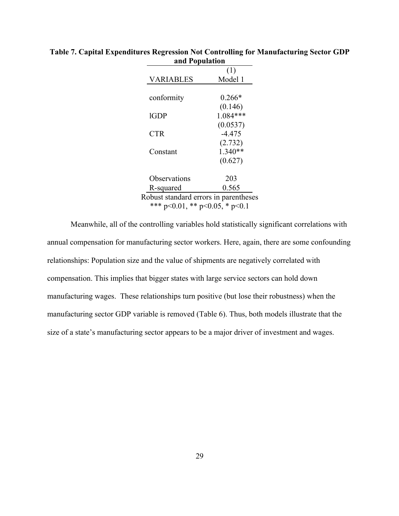|                                       | (1)       |  |
|---------------------------------------|-----------|--|
| <b>VARIABLES</b>                      | Model 1   |  |
|                                       |           |  |
| conformity                            | $0.266*$  |  |
|                                       | (0.146)   |  |
| 1GDP                                  | 1.084***  |  |
|                                       | (0.0537)  |  |
| <b>CTR</b>                            | $-4.475$  |  |
|                                       | (2.732)   |  |
| Constant                              | $1.340**$ |  |
|                                       | (0.627)   |  |
|                                       |           |  |
| Observations                          | 203       |  |
| R-squared                             | 0.565     |  |
| Robust standard errors in parentheses |           |  |
| *** p<0.01, ** p<0.05, * p<0.1        |           |  |

**Table 7. Capital Expenditures Regression Not Controlling for Manufacturing Sector GDP and Population**

Meanwhile, all of the controlling variables hold statistically significant correlations with annual compensation for manufacturing sector workers. Here, again, there are some confounding relationships: Population size and the value of shipments are negatively correlated with compensation. This implies that bigger states with large service sectors can hold down manufacturing wages. These relationships turn positive (but lose their robustness) when the manufacturing sector GDP variable is removed (Table 6). Thus, both models illustrate that the size of a state's manufacturing sector appears to be a major driver of investment and wages.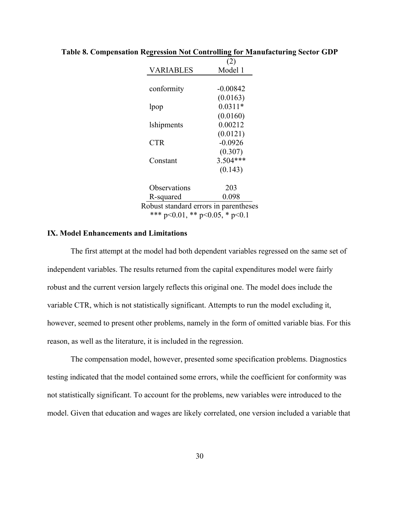|                                       | (2)        |
|---------------------------------------|------------|
| VARIABLES                             | Model 1    |
|                                       |            |
| conformity                            | $-0.00842$ |
|                                       | (0.0163)   |
| lpop                                  | $0.0311*$  |
|                                       | (0.0160)   |
| <i>lshipments</i>                     | 0.00212    |
|                                       | (0.0121)   |
| <b>CTR</b>                            | $-0.0926$  |
|                                       | (0.307)    |
| Constant                              | $3.504***$ |
|                                       | (0.143)    |
| Observations                          | 203        |
| R-squared                             | 0.098      |
| Robust standard errors in parentheses |            |
| *** p<0.01, ** p<0.05, * p<0.1        |            |

#### **Table 8. Compensation Regression Not Controlling for Manufacturing Sector GDP**

#### **IX. Model Enhancements and Limitations**

The first attempt at the model had both dependent variables regressed on the same set of independent variables. The results returned from the capital expenditures model were fairly robust and the current version largely reflects this original one. The model does include the variable CTR, which is not statistically significant. Attempts to run the model excluding it, however, seemed to present other problems, namely in the form of omitted variable bias. For this reason, as well as the literature, it is included in the regression.

The compensation model, however, presented some specification problems. Diagnostics testing indicated that the model contained some errors, while the coefficient for conformity was not statistically significant. To account for the problems, new variables were introduced to the model. Given that education and wages are likely correlated, one version included a variable that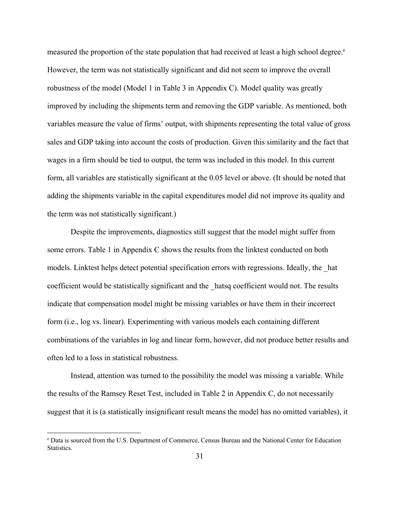measured the proportion of the state population that had received at least a high school degree. $e^{\theta}$ However, the term was not statistically significant and did not seem to improve the overall robustness of the model (Model 1 in Table 3 in Appendix C). Model quality was greatly improved by including the shipments term and removing the GDP variable. As mentioned, both variables measure the value of firms' output, with shipments representing the total value of gross sales and GDP taking into account the costs of production. Given this similarity and the fact that wages in a firm should be tied to output, the term was included in this model. In this current form, all variables are statistically significant at the 0.05 level or above. (It should be noted that adding the shipments variable in the capital expenditures model did not improve its quality and the term was not statistically significant.)

Despite the improvements, diagnostics still suggest that the model might suffer from some errors. Table 1 in Appendix C shows the results from the linktest conducted on both models. Linktest helps detect potential specification errors with regressions. Ideally, the \_hat coefficient would be statistically significant and the \_hatsq coefficient would not. The results indicate that compensation model might be missing variables or have them in their incorrect form (i.e., log vs. linear). Experimenting with various models each containing different combinations of the variables in log and linear form, however, did not produce better results and often led to a loss in statistical robustness.

Instead, attention was turned to the possibility the model was missing a variable. While the results of the Ramsey Reset Test, included in Table 2 in Appendix C, do not necessarily suggest that it is (a statistically insignificant result means the model has no omitted variables), it

<sup>e</sup> Data is sourced from the U.S. Department of Commerce, Census Bureau and the National Center for Education Statistics.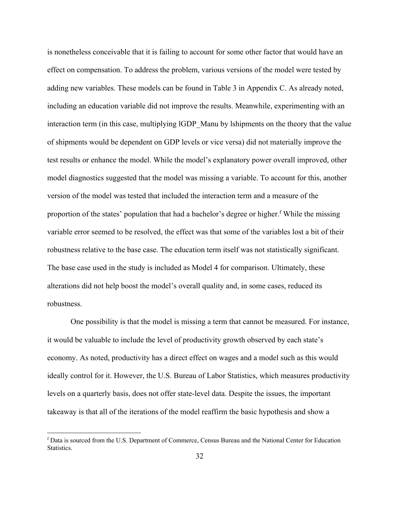is nonetheless conceivable that it is failing to account for some other factor that would have an effect on compensation. To address the problem, various versions of the model were tested by adding new variables. These models can be found in Table 3 in Appendix C. As already noted, including an education variable did not improve the results. Meanwhile, experimenting with an interaction term (in this case, multiplying IGDP Manu by lshipments on the theory that the value of shipments would be dependent on GDP levels or vice versa) did not materially improve the test results or enhance the model. While the model's explanatory power overall improved, other model diagnostics suggested that the model was missing a variable. To account for this, another version of the model was tested that included the interaction term and a measure of the proportion of the states' population that had a bachelor's degree or higher.<sup>f</sup> While the missing variable error seemed to be resolved, the effect was that some of the variables lost a bit of their robustness relative to the base case. The education term itself was not statistically significant. The base case used in the study is included as Model 4 for comparison. Ultimately, these alterations did not help boost the model's overall quality and, in some cases, reduced its robustness.

One possibility is that the model is missing a term that cannot be measured. For instance, it would be valuable to include the level of productivity growth observed by each state's economy. As noted, productivity has a direct effect on wages and a model such as this would ideally control for it. However, the U.S. Bureau of Labor Statistics, which measures productivity levels on a quarterly basis, does not offer state-level data. Despite the issues, the important takeaway is that all of the iterations of the model reaffirm the basic hypothesis and show a

<sup>f</sup> Data is sourced from the U.S. Department of Commerce, Census Bureau and the National Center for Education Statistics.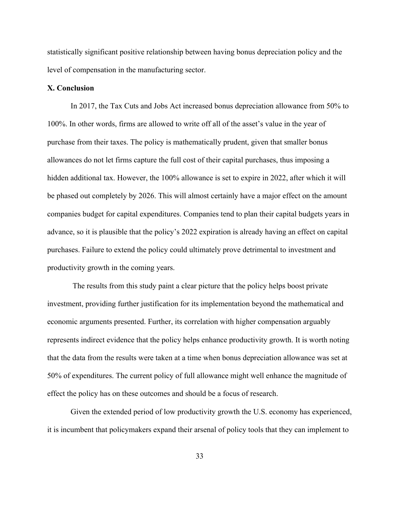statistically significant positive relationship between having bonus depreciation policy and the level of compensation in the manufacturing sector.

#### **X. Conclusion**

In 2017, the Tax Cuts and Jobs Act increased bonus depreciation allowance from 50% to 100%. In other words, firms are allowed to write off all of the asset's value in the year of purchase from their taxes. The policy is mathematically prudent, given that smaller bonus allowances do not let firms capture the full cost of their capital purchases, thus imposing a hidden additional tax. However, the 100% allowance is set to expire in 2022, after which it will be phased out completely by 2026. This will almost certainly have a major effect on the amount companies budget for capital expenditures. Companies tend to plan their capital budgets years in advance, so it is plausible that the policy's 2022 expiration is already having an effect on capital purchases. Failure to extend the policy could ultimately prove detrimental to investment and productivity growth in the coming years.

The results from this study paint a clear picture that the policy helps boost private investment, providing further justification for its implementation beyond the mathematical and economic arguments presented. Further, its correlation with higher compensation arguably represents indirect evidence that the policy helps enhance productivity growth. It is worth noting that the data from the results were taken at a time when bonus depreciation allowance was set at 50% of expenditures. The current policy of full allowance might well enhance the magnitude of effect the policy has on these outcomes and should be a focus of research.

Given the extended period of low productivity growth the U.S. economy has experienced, it is incumbent that policymakers expand their arsenal of policy tools that they can implement to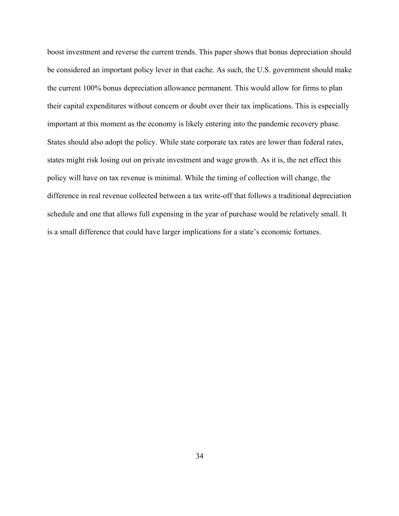boost investment and reverse the current trends. This paper shows that bonus depreciation should be considered an important policy lever in that cache. As such, the U.S. government should make the current 100% bonus depreciation allowance permanent. This would allow for firms to plan their capital expenditures without concern or doubt over their tax implications. This is especially important at this moment as the economy is likely entering into the pandemic recovery phase. States should also adopt the policy. While state corporate tax rates are lower than federal rates, states might risk losing out on private investment and wage growth. As it is, the net effect this policy will have on tax revenue is minimal. While the timing of collection will change, the difference in real revenue collected between a tax write-off that follows a traditional depreciation schedule and one that allows full expensing in the year of purchase would be relatively small. It is a small difference that could have larger implications for a state's economic fortunes.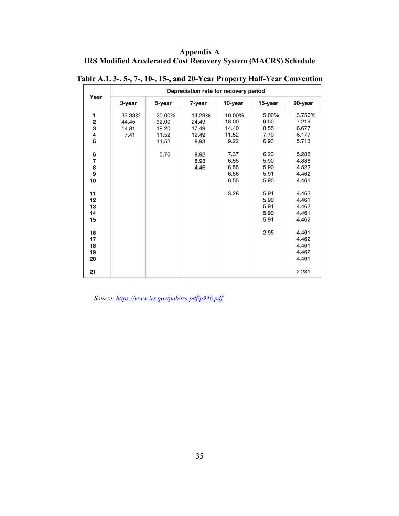# **Appendix A IRS Modified Accelerated Cost Recovery System (MACRS) Schedule**

| Year                                        | Depreciation rate for recovery period |                                            |                                           |                                           |                                       |                                            |  |  |
|---------------------------------------------|---------------------------------------|--------------------------------------------|-------------------------------------------|-------------------------------------------|---------------------------------------|--------------------------------------------|--|--|
|                                             | 3-year                                | 5-year                                     | 7-year                                    | 10-year                                   | 15-year                               | 20-year                                    |  |  |
| 1<br>$\overline{\mathbf{2}}$<br>3<br>4<br>5 | 33.33%<br>44.45<br>14.81<br>7.41      | 20.00%<br>32.00<br>19.20<br>11.52<br>11.52 | 14.29%<br>24.49<br>17.49<br>12.49<br>8.93 | 10.00%<br>18.00<br>14.40<br>11.52<br>9.22 | 5.00%<br>9.50<br>8.55<br>7.70<br>6.93 | 3.750%<br>7.219<br>6.677<br>6.177<br>5.713 |  |  |
| 6<br>7<br>8<br>9<br>10                      |                                       | 5.76                                       | 8.92<br>8.93<br>4.46                      | 7.37<br>6.55<br>6.55<br>6.56<br>6.55      | 6.23<br>5.90<br>5.90<br>5.91<br>5.90  | 5.285<br>4.888<br>4.522<br>4.462<br>4.461  |  |  |
| 11<br>12<br>13<br>14<br>15                  |                                       |                                            |                                           | 3.28                                      | 5.91<br>5.90<br>5.91<br>5.90<br>5.91  | 4.462<br>4.461<br>4.462<br>4.461<br>4.462  |  |  |
| 16<br>17<br>18<br>19<br>20                  |                                       |                                            |                                           |                                           | 2.95                                  | 4.461<br>4.462<br>4.461<br>4.462<br>4.461  |  |  |
| 21                                          |                                       |                                            |                                           |                                           |                                       | 2.231                                      |  |  |

**Table A.1. 3-, 5-, 7-, 10-, 15-, and 20-Year Property Half-Year Convention**

*Source: https://www.irs.gov/pub/irs-pdf/p946.pdf*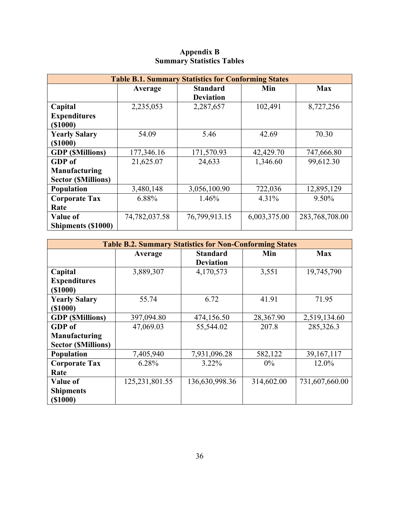| <b>Table B.1. Summary Statistics for Conforming States</b> |               |                  |              |                |  |  |  |  |
|------------------------------------------------------------|---------------|------------------|--------------|----------------|--|--|--|--|
|                                                            | Average       | <b>Standard</b>  | <b>Max</b>   |                |  |  |  |  |
|                                                            |               | <b>Deviation</b> |              |                |  |  |  |  |
| Capital                                                    | 2,235,053     | 2,287,657        | 102,491      | 8,727,256      |  |  |  |  |
| <b>Expenditures</b>                                        |               |                  |              |                |  |  |  |  |
| ( \$1000)                                                  |               |                  |              |                |  |  |  |  |
| <b>Yearly Salary</b>                                       | 54.09         | 5.46             | 42.69        | 70.30          |  |  |  |  |
| ( \$1000)                                                  |               |                  |              |                |  |  |  |  |
| <b>GDP</b> ( <i>SMillions</i> )                            | 177,346.16    | 171,570.93       | 42,429.70    | 747,666.80     |  |  |  |  |
| GDP of                                                     | 21,625.07     | 24,633           | 1,346.60     | 99,612.30      |  |  |  |  |
| Manufacturing                                              |               |                  |              |                |  |  |  |  |
| <b>Sector (SMillions)</b>                                  |               |                  |              |                |  |  |  |  |
| <b>Population</b>                                          | 3,480,148     | 3,056,100.90     | 722,036      | 12,895,129     |  |  |  |  |
| <b>Corporate Tax</b>                                       | 6.88%         | 1.46%            | 4.31%        | $9.50\%$       |  |  |  |  |
| Rate                                                       |               |                  |              |                |  |  |  |  |
| Value of                                                   | 74,782,037.58 | 76,799,913.15    | 6,003,375.00 | 283,768,708.00 |  |  |  |  |
| <b>Shipments (\$1000)</b>                                  |               |                  |              |                |  |  |  |  |

### **Appendix B Summary Statistics Tables**

| <b>Table B.2. Summary Statistics for Non-Conforming States</b> |                   |                                     |            |                |  |  |  |
|----------------------------------------------------------------|-------------------|-------------------------------------|------------|----------------|--|--|--|
|                                                                | Average           | <b>Standard</b><br><b>Deviation</b> | Min        | <b>Max</b>     |  |  |  |
| Capital                                                        | 3,889,307         | 4,170,573                           | 3,551      | 19,745,790     |  |  |  |
| <b>Expenditures</b>                                            |                   |                                     |            |                |  |  |  |
| ( \$1000)                                                      |                   |                                     |            |                |  |  |  |
| <b>Yearly Salary</b>                                           | 55.74             | 6.72                                | 41.91      | 71.95          |  |  |  |
| ( \$1000)                                                      |                   |                                     |            |                |  |  |  |
| <b>GDP</b> ( <i>SMillions</i> )                                | 397,094.80        | 474,156.50                          | 28,367.90  | 2,519,134.60   |  |  |  |
| GDP of                                                         | 47,069.03         | 55,544.02                           | 207.8      | 285,326.3      |  |  |  |
| Manufacturing                                                  |                   |                                     |            |                |  |  |  |
| <b>Sector (SMillions)</b>                                      |                   |                                     |            |                |  |  |  |
| Population                                                     | 7,405,940         | 7,931,096.28                        | 582,122    | 39, 167, 117   |  |  |  |
| <b>Corporate Tax</b>                                           | 6.28%             | $3.22\%$                            | $0\%$      | 12.0%          |  |  |  |
| Rate                                                           |                   |                                     |            |                |  |  |  |
| <b>Value of</b>                                                | 125, 231, 801. 55 | 136,630,998.36                      | 314,602.00 | 731,607,660.00 |  |  |  |
| <b>Shipments</b>                                               |                   |                                     |            |                |  |  |  |
| ( \$1000)                                                      |                   |                                     |            |                |  |  |  |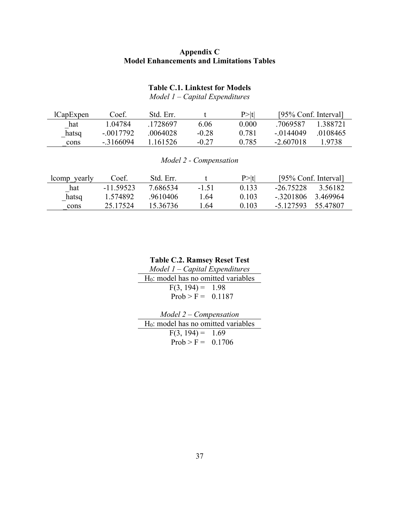# **Appendix C Model Enhancements and Limitations Tables**

# **Table C.1. Linktest for Models**

*Model 1 – Capital Expenditures*

| lCapExpen | Coef.       | Std. Err. |         | P >  t | [95% Conf. Interval] |          |
|-----------|-------------|-----------|---------|--------|----------------------|----------|
| hat       | L04784      | .1728697  | 6.06    | 0.000  | .7069587             | 1 388721 |
| hatsq     | $-.0017792$ | .0064028  | $-0.28$ | 0.781  | $-.0144049$          | .0108465 |
| cons      | $-3166094$  | -161526   | $-0.27$ | 0.785  | -2.607018            | 1.9738   |

*Model 2 - Compensation*

| lcomp yearly | Coef.     | Std. Err. |         | P >  t | [95% Conf. Interval]    |  |
|--------------|-----------|-----------|---------|--------|-------------------------|--|
| hat          | -11.59523 | 7.686534  | $-1.51$ | 0.133  | $-26.75228$<br>3.56182  |  |
| hatsq        | 1.574892  | .9610406  | 1.64    | 0.103  | $-.3201806$<br>3.469964 |  |
| cons         | 25.17524  | 15.36736  | .64     | 0.103  | 55.47807<br>$-5.127593$ |  |

**Table C.2. Ramsey Reset Test**

*Model 1 – Capital Expenditures* H<sub>0</sub>: model has no omitted variables  $F(3, 194) = 1.98$  $Prob > F = 0.1187$ 

| $Model 2 - Compensation$                        |  |  |  |  |  |
|-------------------------------------------------|--|--|--|--|--|
| H <sub>0</sub> : model has no omitted variables |  |  |  |  |  |
| $F(3, 194) = 1.69$                              |  |  |  |  |  |
| $Prob > F = 0.1706$                             |  |  |  |  |  |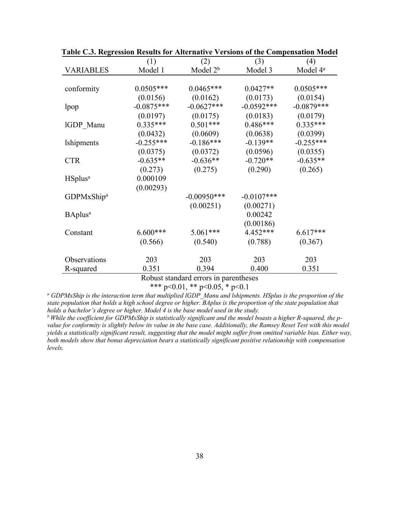|                            | (1)          | (2)            | (3)          | (4)                  |
|----------------------------|--------------|----------------|--------------|----------------------|
| <b>VARIABLES</b>           | Model 1      | Model $2b$     | Model 3      | Model 4 <sup>a</sup> |
|                            |              |                |              |                      |
| conformity                 | $0.0505***$  | $0.0465***$    | $0.0427**$   | $0.0505***$          |
|                            | (0.0156)     | (0.0162)       | (0.0173)     | (0.0154)             |
| lpop                       | $-0.0875***$ | $-0.0627***$   | $-0.0592***$ | $-0.0879***$         |
|                            | (0.0197)     | (0.0175)       | (0.0183)     | (0.0179)             |
| IGDP Manu                  | $0.335***$   | $0.501***$     | $0.486***$   | $0.335***$           |
|                            | (0.0432)     | (0.0609)       | (0.0638)     | (0.0399)             |
| <i>lshipments</i>          | $-0.255***$  | $-0.186***$    | $-0.139**$   | $-0.255***$          |
|                            | (0.0375)     | (0.0372)       | (0.0596)     | (0.0355)             |
| <b>CTR</b>                 | $-0.635**$   | $-0.636**$     | $-0.720**$   | $-0.635**$           |
|                            | (0.273)      | (0.275)        | (0.290)      | (0.265)              |
| HS plus <sup>a</sup>       | 0.000109     |                |              |                      |
|                            | (0.00293)    |                |              |                      |
| GDPMxShip <sup>a</sup>     |              | $-0.00950$ *** | $-0.0107***$ |                      |
|                            |              | (0.00251)      | (0.00271)    |                      |
| <b>BAplus</b> <sup>a</sup> |              |                | 0.00242      |                      |
|                            |              |                | (0.00186)    |                      |
| Constant                   | $6.600***$   | $5.061***$     | 4.452***     | $6.617***$           |
|                            | (0.566)      | (0.540)        | (0.788)      | (0.367)              |
| Observations               | 203          | 203            | 203          | 203                  |
| R-squared                  | 0.351        | 0.394          | 0.400        | 0.351                |
|                            |              |                |              |                      |

**Table C.3. Regression Results for Alternative Versions of the Compensation Model**

Robust standard errors in parentheses

\*\*\* p<0.01, \*\* p<0.05, \* p<0.1

*<sup>a</sup> GDPMxShip is the interaction term that multiplied lGDP\_Manu and lshipments. HSplus is the proportion of the state population that holds a high school degree or higher. BAplus is the proportion of the state population that holds a bachelor's degree or higher. Model 4 is the base model used in the study.*

*b While the coefficient for GDPMxShip is statistically significant and the model boasts a higher R-squared, the pvalue for conformity is slightly below its value in the base case. Additionally, the Ramsey Reset Test with this model yields a statistically significant result, suggesting that the model might suffer from omitted variable bias. Either way, both models show that bonus depreciation bears a statistically significant positive relationship with compensation levels.*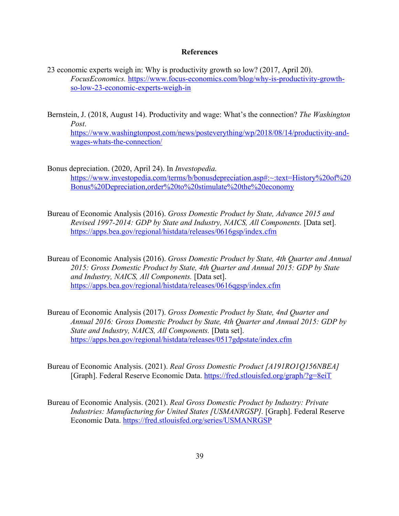#### **References**

- 23 economic experts weigh in: Why is productivity growth so low? (2017, April 20). *FocusEconomics.* https://www.focus-economics.com/blog/why-is-productivity-growthso-low-23-economic-experts-weigh-in
- Bernstein, J. (2018, August 14). Productivity and wage: What's the connection? *The Washington Post*.

https://www.washingtonpost.com/news/posteverything/wp/2018/08/14/productivity-andwages-whats-the-connection/

- Bonus depreciation. (2020, April 24). In *Investopedia.* https://www.investopedia.com/terms/b/bonusdepreciation.asp#:~:text=History%20of%20 Bonus%20Depreciation,order%20to%20stimulate%20the%20economy
- Bureau of Economic Analysis (2016). *Gross Domestic Product by State, Advance 2015 and Revised 1997-2014: GDP by State and Industry, NAICS, All Components.* [Data set]. https://apps.bea.gov/regional/histdata/releases/0616gsp/index.cfm
- Bureau of Economic Analysis (2016). *Gross Domestic Product by State, 4th Quarter and Annual 2015: Gross Domestic Product by State, 4th Quarter and Annual 2015: GDP by State and Industry, NAICS, All Components.* [Data set]. https://apps.bea.gov/regional/histdata/releases/0616qgsp/index.cfm
- Bureau of Economic Analysis (2017). *Gross Domestic Product by State, 4nd Quarter and Annual 2016: Gross Domestic Product by State, 4th Quarter and Annual 2015: GDP by State and Industry, NAICS, All Components.* [Data set]. https://apps.bea.gov/regional/histdata/releases/0517gdpstate/index.cfm
- Bureau of Economic Analysis. (2021). *Real Gross Domestic Product [A191RO1Q156NBEA]* [Graph]. Federal Reserve Economic Data. https://fred.stlouisfed.org/graph/?g=8eiT
- Bureau of Economic Analysis. (2021). *Real Gross Domestic Product by Industry: Private Industries: Manufacturing for United States [USMANRGSP].* [Graph]. Federal Reserve Economic Data. https://fred.stlouisfed.org/series/USMANRGSP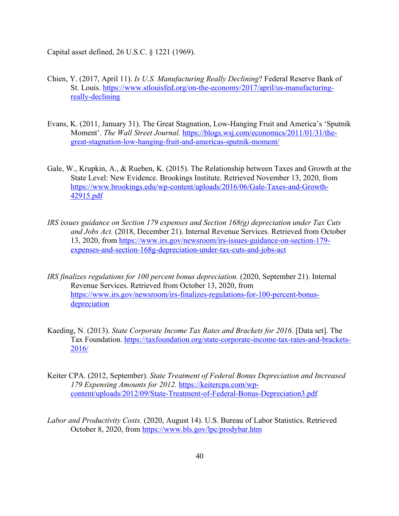Capital asset defined, 26 U.S.C. § 1221 (1969).

- Chien, Y. (2017, April 11). *Is U.S. Manufacturing Really Declining*? Federal Reserve Bank of St. Louis. https://www.stlouisfed.org/on-the-economy/2017/april/us-manufacturingreally-declining
- Evans, K. (2011, January 31). The Great Stagnation, Low-Hanging Fruit and America's 'Sputnik Moment'. *The Wall Street Journal.* https://blogs.wsj.com/economics/2011/01/31/thegreat-stagnation-low-hanging-fruit-and-americas-sputnik-moment/
- Gale, W., Krupkin, A., & Rueben, K. (2015). The Relationship between Taxes and Growth at the State Level: New Evidence. Brookings Institute. Retrieved November 13, 2020, from https://www.brookings.edu/wp-content/uploads/2016/06/Gale-Taxes-and-Growth-42915.pdf
- *IRS issues guidance on Section 179 expenses and Section 168(g) depreciation under Tax Cuts and Jobs Act.* (2018, December 21). Internal Revenue Services. Retrieved from October 13, 2020, from https://www.irs.gov/newsroom/irs-issues-guidance-on-section-179 expenses-and-section-168g-depreciation-under-tax-cuts-and-jobs-act
- *IRS finalizes regulations for 100 percent bonus depreciation.* (2020, September 21). Internal Revenue Services. Retrieved from October 13, 2020, from https://www.irs.gov/newsroom/irs-finalizes-regulations-for-100-percent-bonusdepreciation
- Kaeding, N. (2013). *State Corporate Income Tax Rates and Brackets for 2016*. [Data set]. The Tax Foundation. https://taxfoundation.org/state-corporate-income-tax-rates-and-brackets-2016/
- Keiter CPA. (2012, September). *State Treatment of Federal Bonus Depreciation and Increased 179 Expensing Amounts for 2012.* https://keitercpa.com/wpcontent/uploads/2012/09/State-Treatment-of-Federal-Bonus-Depreciation3.pdf
- *Labor and Productivity Costs.* (2020, August 14). U.S. Bureau of Labor Statistics. Retrieved October 8, 2020, from https://www.bls.gov/lpc/prodybar.htm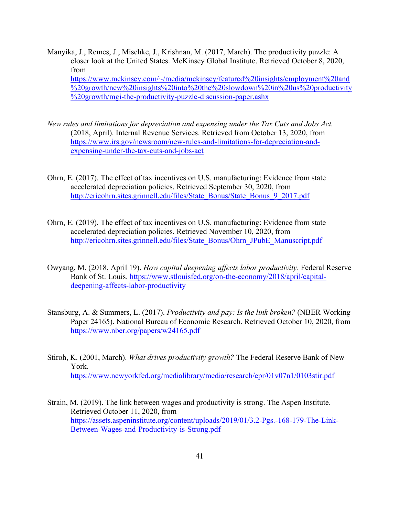- Manyika, J., Remes, J., Mischke, J., Krishnan, M. (2017, March). The productivity puzzle: A closer look at the United States. McKinsey Global Institute. Retrieved October 8, 2020, from https://www.mckinsey.com/~/media/mckinsey/featured%20insights/employment%20and %20growth/new%20insights%20into%20the%20slowdown%20in%20us%20productivity %20growth/mgi-the-productivity-puzzle-discussion-paper.ashx
- *New rules and limitations for depreciation and expensing under the Tax Cuts and Jobs Act.* (2018, April). Internal Revenue Services. Retrieved from October 13, 2020, from https://www.irs.gov/newsroom/new-rules-and-limitations-for-depreciation-andexpensing-under-the-tax-cuts-and-jobs-act
- Ohrn, E. (2017). The effect of tax incentives on U.S. manufacturing: Evidence from state accelerated depreciation policies. Retrieved September 30, 2020, from http://ericohrn.sites.grinnell.edu/files/State\_Bonus/State\_Bonus\_9\_2017.pdf
- Ohrn, E. (2019). The effect of tax incentives on U.S. manufacturing: Evidence from state accelerated depreciation policies. Retrieved November 10, 2020, from http://ericohrn.sites.grinnell.edu/files/State\_Bonus/Ohrn\_JPubE\_Manuscript.pdf
- Owyang, M. (2018, April 19). *How capital deepening affects labor productivity*. Federal Reserve Bank of St. Louis. https://www.stlouisfed.org/on-the-economy/2018/april/capitaldeepening-affects-labor-productivity
- Stansburg, A. & Summers, L. (2017). *Productivity and pay: Is the link broken?* (NBER Working Paper 24165). National Bureau of Economic Research. Retrieved October 10, 2020, from https://www.nber.org/papers/w24165.pdf
- Stiroh, K. (2001, March). *What drives productivity growth?* The Federal Reserve Bank of New York. https://www.newyorkfed.org/medialibrary/media/research/epr/01v07n1/0103stir.pdf
- Strain, M. (2019). The link between wages and productivity is strong. The Aspen Institute. Retrieved October 11, 2020, from https://assets.aspeninstitute.org/content/uploads/2019/01/3.2-Pgs.-168-179-The-Link-Between-Wages-and-Productivity-is-Strong.pdf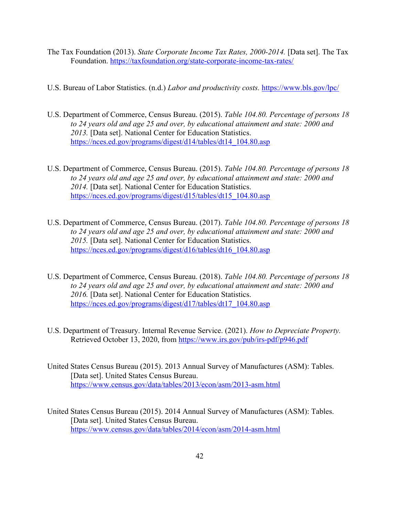- The Tax Foundation (2013). *State Corporate Income Tax Rates, 2000-2014.* [Data set]. The Tax Foundation. https://taxfoundation.org/state-corporate-income-tax-rates/
- U.S. Bureau of Labor Statistics. (n.d.) *Labor and productivity costs.* https://www.bls.gov/lpc/
- U.S. Department of Commerce, Census Bureau. (2015). *Table 104.80. Percentage of persons 18 to 24 years old and age 25 and over, by educational attainment and state: 2000 and 2013.* [Data set]. National Center for Education Statistics. https://nces.ed.gov/programs/digest/d14/tables/dt14\_104.80.asp
- U.S. Department of Commerce, Census Bureau. (2015). *Table 104.80. Percentage of persons 18 to 24 years old and age 25 and over, by educational attainment and state: 2000 and 2014.* [Data set]. National Center for Education Statistics. https://nces.ed.gov/programs/digest/d15/tables/dt15\_104.80.asp
- U.S. Department of Commerce, Census Bureau. (2017). *Table 104.80. Percentage of persons 18 to 24 years old and age 25 and over, by educational attainment and state: 2000 and 2015.* [Data set]. National Center for Education Statistics. https://nces.ed.gov/programs/digest/d16/tables/dt16\_104.80.asp
- U.S. Department of Commerce, Census Bureau. (2018). *Table 104.80. Percentage of persons 18 to 24 years old and age 25 and over, by educational attainment and state: 2000 and 2016.* [Data set]. National Center for Education Statistics. https://nces.ed.gov/programs/digest/d17/tables/dt17\_104.80.asp
- U.S. Department of Treasury. Internal Revenue Service. (2021). *How to Depreciate Property.* Retrieved October 13, 2020, from https://www.irs.gov/pub/irs-pdf/p946.pdf
- United States Census Bureau (2015). 2013 Annual Survey of Manufactures (ASM): Tables. [Data set]. United States Census Bureau. https://www.census.gov/data/tables/2013/econ/asm/2013-asm.html
- United States Census Bureau (2015). 2014 Annual Survey of Manufactures (ASM): Tables. [Data set]. United States Census Bureau. https://www.census.gov/data/tables/2014/econ/asm/2014-asm.html